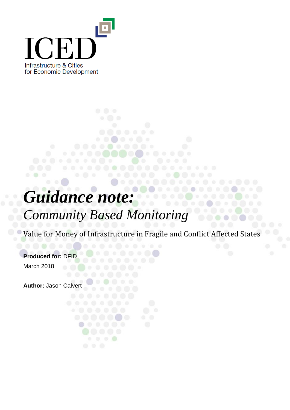

# *Guidance note:*

# *Community Based Monitoring*

. . . . . .

 $\circ$   $\circ$   $\circ$ 

Value for Money of Infrastructure in Fragile and Conflict Affected States

 $\rightarrow$  0

. . . . . . . . . . .

. . . . .

**Produced for:** DFID March 2018

**Author:** Jason Calvert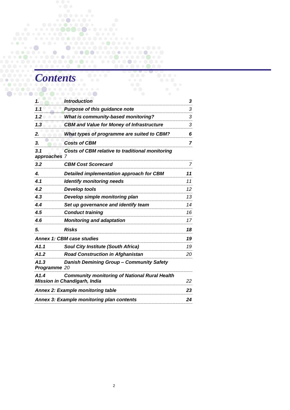# *Contents*

| 1.                   | <b>Introduction</b>                                                                         | 3  |
|----------------------|---------------------------------------------------------------------------------------------|----|
| 1.1                  | <b>Purpose of this guidance note</b>                                                        | 3  |
| 1.2                  | <b>What is community-based monitoring?</b>                                                  | 3  |
| 1.3                  | <b>CBM and Value for Money of Infrastructure</b>                                            | 3  |
| 2.                   | What types of programme are suited to CBM?                                                  | 6  |
| 3.                   | <b>Costs of CBM</b>                                                                         | 7  |
| 3.1<br>approaches 7  | Costs of CBM relative to traditional monitoring                                             |    |
| 3.2                  | <b>CBM Cost Scorecard</b>                                                                   | 7  |
| 4.                   | Detailed implementation approach for CBM                                                    | 11 |
| 4.1                  | <b>Identify monitoring needs</b>                                                            | 11 |
| 4.2                  | <b>Develop tools</b>                                                                        | 12 |
| 4.3                  | Develop simple monitoring plan                                                              | 13 |
| 4.4                  | Set up governance and identify team                                                         | 14 |
| 4.5                  | <b>Conduct training</b>                                                                     | 16 |
| 4.6                  | <b>Monitoring and adaptation</b>                                                            | 17 |
| 5.                   | <b>Risks</b>                                                                                | 18 |
|                      | <b>Annex 1: CBM case studies</b>                                                            | 19 |
| A1.1                 | <b>Soul City Institute (South Africa)</b>                                                   | 19 |
| A1.2                 | <b>Road Construction in Afghanistan</b>                                                     | 20 |
| A1.3<br>Programme 20 | Danish Demining Group - Community Safety                                                    |    |
| A1.4                 | <b>Community monitoring of National Rural Health</b><br><b>Mission in Chandigarh, India</b> | 22 |
|                      | <b>Annex 2: Example monitoring table</b>                                                    | 23 |
|                      | Annex 3: Example monitoring plan contents                                                   | 24 |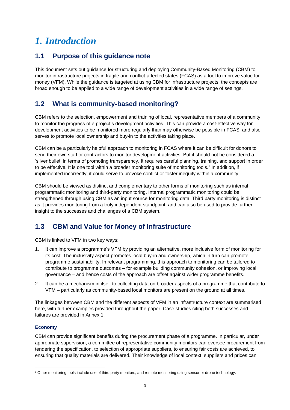# <span id="page-2-0"></span>*1. Introduction*

### <span id="page-2-1"></span>**1.1 Purpose of this guidance note**

This document sets out guidance for structuring and deploying Community-Based Monitoring (CBM) to monitor infrastructure projects in fragile and conflict-affected states (FCAS) as a tool to improve value for money (VFM). While the guidance is targeted at using CBM for infrastructure projects, the concepts are broad enough to be applied to a wide range of development activities in a wide range of settings.

# <span id="page-2-2"></span>**1.2 What is community-based monitoring?**

CBM refers to the selection, empowerment and training of local, representative members of a community to monitor the progress of a project's development activities. This can provide a cost-effective way for development activities to be monitored more regularly than may otherwise be possible in FCAS, and also serves to promote local ownership and buy-in to the activities taking place.

CBM can be a particularly helpful approach to monitoring in FCAS where it can be difficult for donors to send their own staff or contractors to monitor development activities. But it should not be considered a 'silver bullet' in terms of promoting transparency. It requires careful planning, training, and support in order to be effective. It is one tool within a broader monitoring suite of monitoring tools.<sup>1</sup> In addition, if implemented incorrectly, it could serve to provoke conflict or foster inequity within a community.

CBM should be viewed as distinct and complementary to other forms of monitoring such as internal programmatic monitoring and third-party monitoring. Internal programmatic monitoring could be strengthened through using CBM as an input source for monitoring data. Third party monitoring is distinct as it provides monitoring from a truly independent standpoint, and can also be used to provide further insight to the successes and challenges of a CBM system.

# <span id="page-2-3"></span>**1.3 CBM and Value for Money of Infrastructure**

CBM is linked to VFM in two key ways:

- 1. It can improve a programme's VFM by providing an alternative, more inclusive form of monitoring for its cost. The inclusivity aspect promotes local buy-in and ownership, which in turn can promote programme sustainability. In relevant programming, this approach to monitoring can be tailored to contribute to programme outcomes – for example building community cohesion, or improving local governance – and hence costs of the approach are offset against wider programme benefits.
- 2. It can be a mechanism in itself to collecting data on broader aspects of a programme that contribute to VFM – particularly as community-based local monitors are present on the ground at all times.

The linkages between CBM and the different aspects of VFM in an infrastructure context are summarised here, with further examples provided throughout the paper. Case studies citing both successes and failures are provided in Annex 1.

#### **Economy**

 $\overline{a}$ 

CBM can provide significant benefits during the procurement phase of a programme. In particular, under appropriate supervision, a committee of representative community monitors can oversee procurement from tendering the specification, to selection of appropriate suppliers, to ensuring fair costs are achieved, to ensuring that quality materials are delivered. Their knowledge of local context, suppliers and prices can

<sup>&</sup>lt;sup>1</sup> Other monitoring tools include use of third party monitors, and remote monitoring using sensor or drone technology.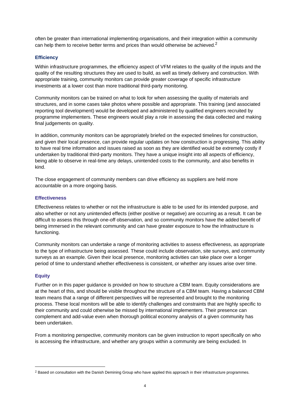often be greater than international implementing organisations, and their integration within a community can help them to receive better terms and prices than would otherwise be achieved. $2$ 

#### **Efficiency**

Within infrastructure programmes, the efficiency aspect of VFM relates to the quality of the inputs and the quality of the resulting structures they are used to build, as well as timely delivery and construction. With appropriate training, community monitors can provide greater coverage of specific infrastructure investments at a lower cost than more traditional third-party monitoring.

Community monitors can be trained on what to look for when assessing the quality of materials and structures, and in some cases take photos where possible and appropriate. This training (and associated reporting tool development) would be developed and administered by qualified engineers recruited by programme implementers. These engineers would play a role in assessing the data collected and making final judgements on quality.

In addition, community monitors can be appropriately briefed on the expected timelines for construction, and given their local presence, can provide regular updates on how construction is progressing. This ability to have real time information and issues raised as soon as they are identified would be extremely costly if undertaken by traditional third-party monitors. They have a unique insight into all aspects of efficiency, being able to observe in real-time any delays, unintended costs to the community, and also benefits in kind.

The close engagement of community members can drive efficiency as suppliers are held more accountable on a more ongoing basis.

#### **Effectiveness**

Effectiveness relates to whether or not the infrastructure is able to be used for its intended purpose, and also whether or not any unintended effects (either positive or negative) are occurring as a result. It can be difficult to assess this through one-off observation, and so community monitors have the added benefit of being immersed in the relevant community and can have greater exposure to how the infrastructure is functioning.

Community monitors can undertake a range of monitoring activities to assess effectiveness, as appropriate to the type of infrastructure being assessed. These could include observation, site surveys, and community surveys as an example. Given their local presence, monitoring activities can take place over a longer period of time to understand whether effectiveness is consistent, or whether any issues arise over time.

#### **Equity**

 $\overline{a}$ 

Further on in this paper guidance is provided on how to structure a CBM team. Equity considerations are at the heart of this, and should be visible throughout the structure of a CBM team. Having a balanced CBM team means that a range of different perspectives will be represented and brought to the monitoring process. These local monitors will be able to identify challenges and constraints that are highly specific to their community and could otherwise be missed by international implementers. Their presence can complement and add-value even when thorough political economy analysis of a given community has been undertaken.

From a monitoring perspective, community monitors can be given instruction to report specifically on who is accessing the infrastructure, and whether any groups within a community are being excluded. In

<sup>&</sup>lt;sup>2</sup> Based on consultation with the Danish Demining Group who have applied this approach in their infrastructure programmes.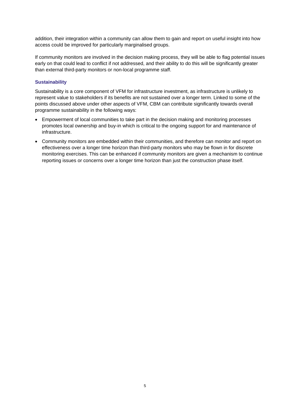addition, their integration within a community can allow them to gain and report on useful insight into how access could be improved for particularly marginalised groups.

If community monitors are involved in the decision making process, they will be able to flag potential issues early on that could lead to conflict if not addressed, and their ability to do this will be significantly greater than external third-party monitors or non-local programme staff.

#### **Sustainability**

Sustainability is a core component of VFM for infrastructure investment, as infrastructure is unlikely to represent value to stakeholders if its benefits are not sustained over a longer term. Linked to some of the points discussed above under other aspects of VFM, CBM can contribute significantly towards overall programme sustainability in the following ways:

- Empowerment of local communities to take part in the decision making and monitoring processes promotes local ownership and buy-in which is critical to the ongoing support for and maintenance of infrastructure.
- Community monitors are embedded within their communities, and therefore can monitor and report on effectiveness over a longer time horizon than third-party monitors who may be flown in for discrete monitoring exercises. This can be enhanced if community monitors are given a mechanism to continue reporting issues or concerns over a longer time horizon than just the construction phase itself.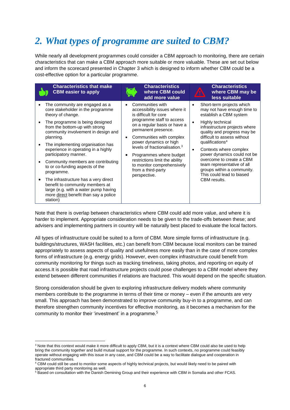# <span id="page-5-0"></span>*2. What types of programme are suited to CBM?*

While nearly all development programmes could consider a CBM approach to monitoring, there are certain characteristics that can make a CBM approach more suitable or more valuable. These are set out below and inform the scorecard presented in Chapter 3 which is designed to inform whether CBM could be a cost-effective option for a particular programme.

| <b>Characteristics that make</b><br><b>CBM</b> easier to apply                                                                                                                                                                                                                                                                                                                                                                                                                                                                                                                        | <b>Characteristics</b><br>where CBM could<br>add more value                                                                                                                                                                                                                                                                                                                                        | <b>Characteristics</b><br>where CBM may be<br>less suitable                                                                                                                                                                                                                                                                                                                                                                                                  |
|---------------------------------------------------------------------------------------------------------------------------------------------------------------------------------------------------------------------------------------------------------------------------------------------------------------------------------------------------------------------------------------------------------------------------------------------------------------------------------------------------------------------------------------------------------------------------------------|----------------------------------------------------------------------------------------------------------------------------------------------------------------------------------------------------------------------------------------------------------------------------------------------------------------------------------------------------------------------------------------------------|--------------------------------------------------------------------------------------------------------------------------------------------------------------------------------------------------------------------------------------------------------------------------------------------------------------------------------------------------------------------------------------------------------------------------------------------------------------|
| The community are engaged as a<br>core stakeholder in the programme<br>theory of change.<br>The programme is being designed<br>from the bottom-up with strong<br>community involvement in design and<br>planning.<br>The implementing organisation has<br>experience in operating in a highly<br>participatory manner.<br>Community members are contributing<br>to or co-funding aspects of the<br>programme.<br>The infrastructure has a very direct<br>benefit to community members at<br>large (e.g. with a water pump having<br>more direct benefit than say a police<br>station) | Communities with<br>accessibility issues where it<br>is difficult for core<br>programme staff to access<br>on a regular basis or have a<br>permanent presence.<br>Communities with complex<br>power dynamics or high<br>levels of fractionalisation. <sup>3</sup><br>Programmes where budget<br>restrictions limit the ability<br>to monitor comprehensively<br>from a third-party<br>perspective. | Short-term projects which<br>may not have enough time to<br>establish a CBM system<br>Highly technical<br>$\bullet$<br>infrastructure projects where<br>quality and progress may be<br>difficult to assess without<br>qualifications <sup>4</sup><br>Contexts where complex<br>$\bullet$<br>power dynamics could not be<br>overcome to create a CBM<br>team representative of all<br>groups within a community.<br>This could lead to biased<br>CBM results. |

Note that there is overlap between characteristics where CBM could add more value, and where it is harder to implement. Appropriate consideration needs to be given to the trade-offs between these; and advisers and implementing partners in country will be naturally best placed to evaluate the local factors.

All types of infrastructure could be suited to a form of CBM. More simple forms of infrastructure (e.g. buildings/structures, WASH facilities, etc.) can benefit from CBM because local monitors can be trained appropriately to assess aspects of quality and usefulness more easily than in the case of more complex forms of infrastructure (e.g. energy grids). However, even complex infrastructure could benefit from community monitoring for things such as tracking timeliness, taking photos, and reporting on equity of access.It is possible that road infrastructure projects could pose challenges to a CBM model where they extend between different communities if relations are fractured. This would depend on the specific situation.

Strong consideration should be given to exploring infrastructure delivery models where community members contribute to the programme in terms of their time or money – even if the amounts are very small. This approach has been demonstrated to improve community buy-in to a programme, and can therefore strengthen community incentives for effective monitoring, as it becomes a mechanism for the community to monitor their 'investment' in a programme.5

 $\overline{a}$ 

<sup>&</sup>lt;sup>3</sup> Note that this context would make it more difficult to apply CBM, but it is a context where CBM could also be used to help bring the community together and build mutual support for the programme. In such contexts, no programme could feasibly operate without engaging with this issue in any case, and CBM could be a way to facilitate dialogue and cooperation in fractured communities.

<sup>&</sup>lt;sup>4</sup> CBM could still be used to monitor some aspects of highly technical projects, but would likely need to be paired with appropriate third party monitoring as well.

<sup>&</sup>lt;sup>5</sup> Based on consultation with the Danish Demining Group and their experience with CBM in Somalia and other FCAS.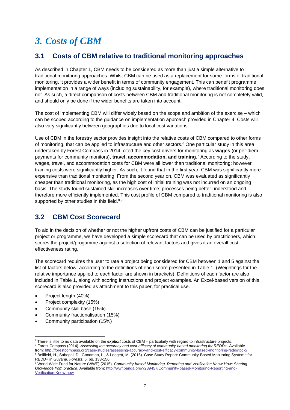# <span id="page-6-0"></span>*3. Costs of CBM*

### <span id="page-6-1"></span>**3.1 Costs of CBM relative to traditional monitoring approaches**

As described in Chapter 1, CBM needs to be considered as more than just a simple alternative to traditional monitoring approaches. Whilst CBM can be used as a replacement for some forms of traditional monitoring, it provides a wider benefit in terms of community engagement. This can benefit programme implementation in a range of ways (including sustainability, for example), where traditional monitoring does not. As such, a direct comparison of costs between CBM and traditional monitoring is not completely valid, and should only be done if the wider benefits are taken into account.

The cost of implementing CBM will differ widely based on the scope and ambition of the exercise – which can be scoped according to the guidance on implementation approach provided in Chapter 4. Costs will also vary significantly between geographies due to local cost variations.

Use of CBM in the forestry sector provides insight into the relative costs of CBM compared to other forms of monitoring, that can be applied to infrastructure and other sectors.<sup>6</sup> One particular study in this area undertaken by Forest Compass in 2014, cited the key cost drivers for monitoring as **wages** (or per-diem payments for community monitors)**, travel, accommodation, and training**. <sup>7</sup> According to the study, wages, travel, and accommodation costs for CBM were all lower than traditional monitoring; however training costs were significantly higher. As such, it found that in the first year, CBM was significantly more expensive than traditional monitoring. From the second year on, CBM was evaluated as significantly cheaper than traditional monitoring, as the high cost of initial training was not incurred on an ongoing basis. The study found sustained skill increases over time; processes being better understood and therefore more efficiently implemented. This cost profile of CBM compared to traditional monitoring is also supported by other studies in this field.<sup>8,9</sup>

# <span id="page-6-2"></span>**3.2 CBM Cost Scorecard**

To aid in the decision of whether or not the higher upfront costs of CBM can be justified for a particular project or programme, we have developed a simple scorecard that can be used by practitioners, which scores the project/progamme against a selection of relevant factors and gives it an overall costeffectiveness rating.

The scorecard requires the user to rate a project being considered for CBM between 1 and 5 against the list of factors below, according to the definitions of each score presented in Table 1. (Weightings for the relative importance applied to each factor are shown in brackets). Definitions of each factor are also included in Table 1, along with scoring instructions and project examples. An Excel-based version of this scorecard is also provided as attachment to this paper, for practical use.

• Project length (40%)

 $\overline{a}$ 

- Project complexity (15%)
- Community skill base (15%)
- Community fractionalisation (15%)
- Community participation (15%)

from[: http://forestcompass.org/case-studies/assessing-accuracy-and-cost-efficacy-community-based-monitoring-redd#toc-5](http://forestcompass.org/case-studies/assessing-accuracy-and-cost-efficacy-community-based-monitoring-redd#toc-5) 8 Bellfield, H., Sabogal, D., Goodman, L., & Leggett, M. (2015). Case Study Report: Community-Based Monitoring Systems for REDD+ in Guyana. *Forests*, 6, pp. 133-156.

<sup>6</sup> There is little to no data available on the *explicit* costs of CBM – particularly with regard to infrastructure projects. <sup>7</sup> Forest Compass (2014). *Assessing the accuracy and cost-efficacy of community-based monitoring for REDD+*. Available

<sup>9</sup> World-Wide Fund for Nature (WWF) (2015). *Community-based Monitoring, Reporting and Verification Know-How: Sharing knowledge from practice*. Available from: [http://wwf.panda.org/?239457/Community-based-Monitoring-Reporting-and-](http://wwf.panda.org/?239457/Community-based-Monitoring-Reporting-and-Verification-Know-how)[Verification-Know-how](http://wwf.panda.org/?239457/Community-based-Monitoring-Reporting-and-Verification-Know-how)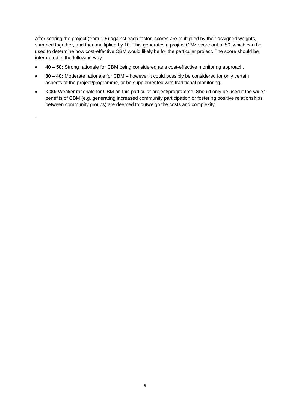After scoring the project (from 1-5) against each factor, scores are multiplied by their assigned weights, summed together, and then multiplied by 10. This generates a project CBM score out of 50, which can be used to determine how cost-effective CBM would likely be for the particular project. The score should be interpreted in the following way:

- **40 – 50:** Strong rationale for CBM being considered as a cost-effective monitoring approach.
- **30 – 40:** Moderate rationale for CBM however it could possibly be considered for only certain aspects of the project/programme, or be supplemented with traditional monitoring.

.

• **< 30:** Weaker rationale for CBM on this particular project/programme. Should only be used if the wider benefits of CBM (e.g. generating increased community participation or fostering positive relationships between community groups) are deemed to outweigh the costs and complexity.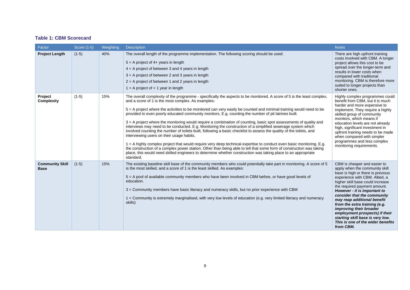#### **Table 1: CBM Scorecard**

| Factor                                | Score (1-5) | Weighting | <b>Description</b>                                                                                                                                                                                                                                                                                                                                                                                                                                                                                                                                                                                                                                                                                                                                                                                                                                                                                                                                                                                                                                                                                                                                                                                   | <b>Notes</b>                                                                                                                                                                                                                                                                                                                                                                                                                                                                                |
|---------------------------------------|-------------|-----------|------------------------------------------------------------------------------------------------------------------------------------------------------------------------------------------------------------------------------------------------------------------------------------------------------------------------------------------------------------------------------------------------------------------------------------------------------------------------------------------------------------------------------------------------------------------------------------------------------------------------------------------------------------------------------------------------------------------------------------------------------------------------------------------------------------------------------------------------------------------------------------------------------------------------------------------------------------------------------------------------------------------------------------------------------------------------------------------------------------------------------------------------------------------------------------------------------|---------------------------------------------------------------------------------------------------------------------------------------------------------------------------------------------------------------------------------------------------------------------------------------------------------------------------------------------------------------------------------------------------------------------------------------------------------------------------------------------|
| <b>Project Length</b>                 | $(1-5)$     | 40%       | The overall length of the programme implementation. The following scoring should be used:<br>$5 = A$ project of $4+$ years in length<br>$4 = A$ project of between 3 and 4 years in length<br>$3 = A$ project of between 2 and 3 years in length<br>$2 = A$ project of between 1 and 2 years in length<br>$1 = A$ project of $\lt 1$ year in length                                                                                                                                                                                                                                                                                                                                                                                                                                                                                                                                                                                                                                                                                                                                                                                                                                                  | There are high upfront training<br>costs involved with CBM. A longer<br>project allows this cost to be<br>spread over the longer-term and<br>results in lower costs when<br>compared with traditional<br>monitoring. CBM is therefore more<br>suited to longer projects than<br>shorter ones.                                                                                                                                                                                               |
| Project<br><b>Complexity</b>          | $(1-5)$     | 15%       | The overall complexity of the programme - specifically the aspects to be monitored. A score of 5 is the least complex,<br>and a score of 1 is the most complex. As examples:<br>5 = A project where the activities to be monitored can very easily be counted and minimal training would need to be<br>provided to even poorly educated community monitors. E.g. counting the number of pit latrines built.<br>$3 = A$ project where the monitoring would require a combination of counting, basic spot assessments of quality and<br>interviews may need to be conducted. E.g. Monitoring the construction of a simplified sewerage system which<br>involved counting the number of toilets built, following a basic checklist to assess the quality of the toilets, and<br>interviewing users on their usage habits.<br>1 = A highly complex project that would require very deep technical expertise to conduct even basic monitoring. E.g.<br>the construction of a complex power station. Other than being able to tell that some form of construction was taking<br>place, this would need skilled engineers to determine whether construction was taking place to an appropriate<br>standard. | Highly complex programmes could<br>benefit from CBM, but it is much<br>harder and more expensive to<br>implement. They require a highly<br>skilled group of community<br>monitors, which means if<br>education levels are not already<br>high, significant investment in<br>upfront training needs to be made<br>when compared with simpler<br>programmes and less complex<br>monitoring requirements.                                                                                      |
| <b>Community Skill</b><br><b>Base</b> | $(1-5)$     | 15%       | The existing baseline skill base of the community members who could potentially take part in monitoring. A score of 5<br>is the most skilled, and a score of 1 is the least skilled. As examples:<br>5 = A pool of available community members who have been involved in CBM before, or have good levels of<br>education.<br>3 = Community members have basic literacy and numeracy skills, but no prior experience with CBM<br>1 = Community is extremely marginalised, with very low levels of education (e.g. very limited literacy and numeracy<br>skills)                                                                                                                                                                                                                                                                                                                                                                                                                                                                                                                                                                                                                                       | CBM is cheaper and easier to<br>apply when the community skill<br>base is high or there is previous<br>experience with CBM. Albeit, a<br>higher skill base could increase<br>the required payment amount.<br>However - it is important to<br>consider that the community<br>may reap additional benefit<br>from the extra training (e.g.<br>improving their broader<br>employment prospects) if their<br>starting skill base is very low.<br>This is one of the wider benefits<br>from CBM. |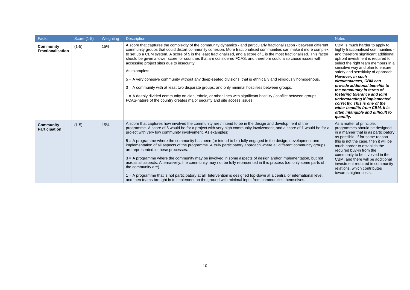| Factor                                | Score (1-5) | Weighting | <b>Description</b>                                                                                                                                                                                                                                                                                                                                                                                                                                                                                                                                                                                                                                                                                                                                                                                                                                                                                                                                                                                                                                                                  | <b>Notes</b>                                                                                                                                                                                                                                                                                                                                                                                                                                                                                                                                                           |
|---------------------------------------|-------------|-----------|-------------------------------------------------------------------------------------------------------------------------------------------------------------------------------------------------------------------------------------------------------------------------------------------------------------------------------------------------------------------------------------------------------------------------------------------------------------------------------------------------------------------------------------------------------------------------------------------------------------------------------------------------------------------------------------------------------------------------------------------------------------------------------------------------------------------------------------------------------------------------------------------------------------------------------------------------------------------------------------------------------------------------------------------------------------------------------------|------------------------------------------------------------------------------------------------------------------------------------------------------------------------------------------------------------------------------------------------------------------------------------------------------------------------------------------------------------------------------------------------------------------------------------------------------------------------------------------------------------------------------------------------------------------------|
| Community<br><b>Fractionalisation</b> | $(1-5)$     | 15%       | A score that captures the complexity of the community dynamics - and particularly fractionalisation - between different<br>community groups that could distort community cohesion. More fractionalised communities can make it more complex<br>to set up a CBM system. A score of 5 is the least fractionalised, and a score of 1 is the most fractionalised. This factor<br>should be given a lower score for countries that are considered FCAS, and therefore could also cause issues with<br>accessing project sites due to insecurity.<br>As examples:<br>5 = A very cohesive community without any deep-seated divisions, that is ethnically and religiously homogenous.<br>$3 = A$ community with at least two disparate groups, and only minimal hostilities between groups.<br>$1 = A$ deeply divided community on clan, ethnic, or other lines with significant hostility / conflict between groups.<br>FCAS-nature of the country creates major security and site access issues.                                                                                         | CBM is much harder to apply to<br>highly fractionalised communities -<br>and therefore significant additional<br>upfront investment is required to<br>select the right team members in a<br>sensitive way and plan to ensure<br>safety and sensitivity of approach.<br>However, in such<br>circumstances, CBM can<br>provide additional benefits to<br>the community in terms of<br>fostering tolerance and joint<br>understanding if implemented<br>correctly. This is one of the<br>wider benefits from CBM. It is<br>often intangible and difficult to<br>quantify. |
| Community<br><b>Participation</b>     | $(1-5)$     | 15%       | A score that captures how involved the community are / intend to be in the design and development of the<br>programme. A score of 5 would be for a project with very high community involvement, and a score of 1 would be for a<br>project with very low community involvement. As examples:<br>5 = A programme where the community has been (or intend to be) fully engaged in the design, development and<br>implementation of all aspects of the programme. A truly participatory approach where all different community groups<br>are represented in these processes.<br>$3 = A$ programme where the community may be involved in some aspects of design and/or implementation, but not<br>across all aspects. Alternatively, the community may not be fully represented in this process (i.e. only some parts of<br>the community are).<br>$1 = A$ programme that is not participatory at all. Intervention is designed top-down at a central or international level,<br>and then teams brought in to implement on the ground with minimal input from communities themselves. | As a matter of principle,<br>programmes should be designed<br>in a manner that is as participatory<br>as possible. If for some reason<br>this is not the case, then it will be<br>much harder to establish the<br>required buy-in from the<br>community to be involved in the<br>CBM, and there will be additional<br>investment required in community<br>relations, which contributes<br>towards higher costs.                                                                                                                                                        |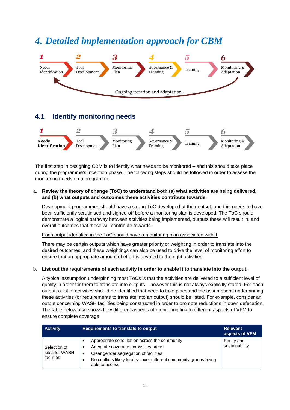# <span id="page-10-0"></span>*4. Detailed implementation approach for CBM*



### <span id="page-10-1"></span>**4.1 Identify monitoring needs**



The first step in designing CBM is to identify what needs to be monitored – and this should take place during the programme's inception phase. The following steps should be followed in order to assess the monitoring needs on a programme.

#### a. **Review the theory of change (ToC) to understand both (a) what activities are being delivered, and (b) what outputs and outcomes these activities contribute towards.**

Development programmes should have a strong ToC developed at their outset, and this needs to have been sufficiently scrutinised and signed-off before a monitoring plan is developed. The ToC should demonstrate a logical pathway between activities being implemented, outputs these will result in, and overall outcomes that these will contribute towards.

Each output identified in the ToC should have a monitoring plan associated with it.

There may be certain outputs which have greater priority or weighting in order to translate into the desired outcomes, and these weightings can also be used to drive the level of monitoring effort to ensure that an appropriate amount of effort is devoted to the right activities.

#### b. **List out the requirements of each activity in order to enable it to translate into the output.**

A typical assumption underpinning most ToCs is that the activities are delivered to a sufficient level of quality in order for them to translate into outputs – however this is not always explicitly stated. For each output, a list of activities should be identified that need to take place and the assumptions underpinning these activities (or requirements to translate into an output) should be listed. For example, consider an output concerning WASH facilities being constructed in order to promote reductions in open defecation. The table below also shows how different aspects of monitoring link to different aspects of VFM to ensure complete coverage.

| <b>Activity</b>                              | Requirements to translate to output                                                                                                                                                                                   | <b>Relevant</b><br>aspects of VFM |
|----------------------------------------------|-----------------------------------------------------------------------------------------------------------------------------------------------------------------------------------------------------------------------|-----------------------------------|
| Selection of<br>sites for WASH<br>facilities | Appropriate consultation across the community<br>Adequate coverage across key areas<br>Clear gender segregation of facilities<br>No conflicts likely to arise over different community groups being<br>able to access | Equity and<br>sustainability      |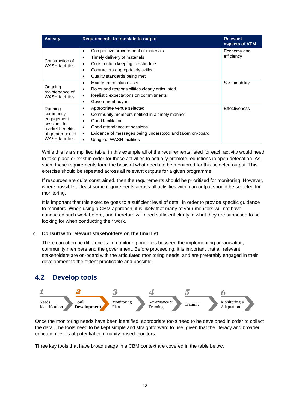| <b>Activity</b>                                                                                                     | Requirements to translate to output                                                                                                                                                                                                                                                   | <b>Relevant</b><br>aspects of VFM |
|---------------------------------------------------------------------------------------------------------------------|---------------------------------------------------------------------------------------------------------------------------------------------------------------------------------------------------------------------------------------------------------------------------------------|-----------------------------------|
| Construction of<br><b>WASH</b> facilities                                                                           | Competitive procurement of materials<br>$\bullet$<br>Timely delivery of materials<br>Construction keeping to schedule<br>$\bullet$<br>Contractors appropriately skilled<br>$\bullet$<br>Quality standards being met<br>٠                                                              | Economy and<br>efficiency         |
| Ongoing<br>maintenance of<br><b>WASH</b> facilities                                                                 | Maintenance plan exists<br>$\bullet$<br>Roles and responsibilities clearly articulated<br>$\bullet$<br>Realistic expectations on commitments<br>٠<br>Government buy-in<br>٠                                                                                                           | Sustainability                    |
| Running<br>community<br>engagement<br>sessions to<br>market benefits<br>of greater use of<br><b>WASH</b> facilities | Appropriate venue selected<br>٠<br>Community members notified in a timely manner<br>$\bullet$<br>Good facilitation<br>$\bullet$<br>Good attendance at sessions<br>٠<br>Evidence of messages being understood and taken on-board<br>$\bullet$<br>Usage of WASH facilities<br>$\bullet$ | <b>Effectiveness</b>              |

While this is a simplified table, in this example all of the requirements listed for each activity would need to take place or exist in order for these activities to actually promote reductions in open defecation. As such, these requirements form the basis of what needs to be monitored for this selected output. This exercise should be repeated across all relevant outputs for a given programme.

If resources are quite constrained, then the requirements should be prioritised for monitoring. However, where possible at least some requirements across all activities within an output should be selected for monitoring.

It is important that this exercise goes to a sufficient level of detail in order to provide specific guidance to monitors. When using a CBM approach, it is likely that many of your monitors will not have conducted such work before, and therefore will need sufficient clarity in what they are supposed to be looking for when conducting their work.

#### c. **Consult with relevant stakeholders on the final list**

There can often be differences in monitoring priorities between the implementing organisation, community members and the government. Before proceeding, it is important that all relevant stakeholders are on-board with the articulated monitoring needs, and are preferably engaged in their development to the extent practicable and possible.

### <span id="page-11-0"></span>**4.2 Develop tools**



Once the monitoring needs have been identified, appropriate tools need to be developed in order to collect the data. The tools need to be kept simple and straightforward to use, given that the literacy and broader education levels of potential community-based monitors.

Three key tools that have broad usage in a CBM context are covered in the table below.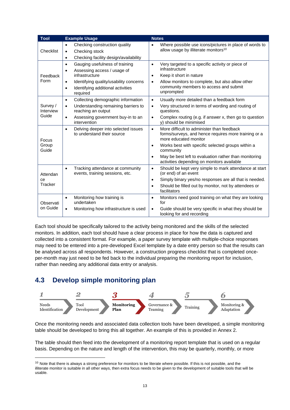| <b>Tool</b>                    | <b>Example Usage</b>                                                                                                                                                                                                           | <b>Notes</b>                                                                                                                                                                                                                                                                                                                                |
|--------------------------------|--------------------------------------------------------------------------------------------------------------------------------------------------------------------------------------------------------------------------------|---------------------------------------------------------------------------------------------------------------------------------------------------------------------------------------------------------------------------------------------------------------------------------------------------------------------------------------------|
| Checklist                      | Checking construction quality<br>$\bullet$<br>Checking stock<br>$\bullet$<br>Checking facility design/availability<br>$\bullet$                                                                                                | Where possible use icons/pictures in place of words to<br>$\bullet$<br>allow usage by illiterate monitors <sup>10</sup>                                                                                                                                                                                                                     |
| Feedback<br>Form               | Gauging usefulness of training<br>$\bullet$<br>Assessing access / usage of<br>$\bullet$<br>infrastructure<br>Identifying quality/usability concerns<br>$\bullet$<br>Identifying additional activities<br>$\bullet$<br>required | Very targeted to a specific activity or piece of<br>$\bullet$<br>infrastructure<br>Keep it short in nature<br>$\bullet$<br>Allow monitors to complete, but also allow other<br>$\bullet$<br>community members to access and submit<br>unprompted                                                                                            |
| Survey /<br>Interview<br>Guide | Collecting demographic information<br>$\bullet$<br>Understanding remaining barriers to<br>$\bullet$<br>reaching an output<br>Assessing government buy-in to an<br>$\bullet$<br>intervention                                    | Usually more detailed than a feedback form<br>$\bullet$<br>Very structured in terms of wording and routing of<br>$\bullet$<br>questions.<br>Complex routing (e.g. if answer x, then go to question<br>$\bullet$<br>y) should be minimised                                                                                                   |
| Focus<br>Group<br>Guide        | Delving deeper into selected issues<br>$\bullet$<br>to understand their source                                                                                                                                                 | More difficult to administer than feedback<br>$\bullet$<br>forms/surveys, and hence requires more training or a<br>more educated monitor<br>Works best with specific selected groups within a<br>$\bullet$<br>community<br>May be best left to evaluation rather than monitoring<br>$\bullet$<br>activities depending on monitors available |
| Attendan<br>сe<br>Tracker      | Tracking attendance at community<br>$\bullet$<br>events, training sessions, etc.                                                                                                                                               | Should be kept very simple to mark attendance at start<br>$\bullet$<br>(or end) of an event<br>Simply binary yes/no responses are all that is needed.<br>$\bullet$<br>Should be filled out by monitor, not by attendees or<br>$\bullet$<br>facilitators                                                                                     |
| Observati<br>on Guide          | Monitoring how training is<br>$\bullet$<br>undertaken<br>Monitoring how infrastructure is used<br>$\bullet$                                                                                                                    | Monitors need good training on what they are looking<br>$\bullet$<br>for<br>Guide should be very specific in what they should be<br>$\bullet$<br>looking for and recording                                                                                                                                                                  |

Each tool should be specifically tailored to the activity being monitored and the skills of the selected monitors. In addition, each tool should have a clear process in place for how the data is captured and collected into a consistent format. For example, a paper survey template with multiple-choice responses may need to be entered into a pre-developed Excel template by a date entry person so that the results can be analysed across all respondents. However, a construction progress checklist that is completed onceper-month may just need to be fed back to the individual preparing the monitoring report for inclusion, rather than needing any additional data entry or analysis.

### <span id="page-12-0"></span>**4.3 Develop simple monitoring plan**

l



Once the monitoring needs and associated data collection tools have been developed, a simple monitoring table should be developed to bring this all together. An example of this is provided in Annex 2.

The table should then feed into the development of a monitoring report template that is used on a regular basis. Depending on the nature and length of the intervention, this may be quarterly, monthly, or more

 $10$  Note that there is always a strong preference for monitors to be literate where possible. If this is not possible, and the illiterate monitor is suitable in all other ways, then extra focus needs to be given to the development of suitable tools that will be usable.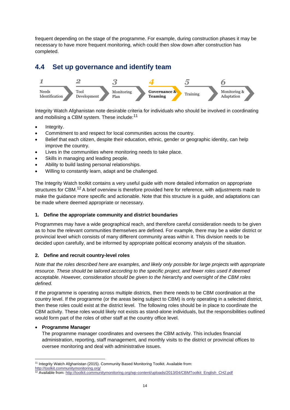frequent depending on the stage of the programme. For example, during construction phases it may be necessary to have more frequent monitoring, which could then slow down after construction has completed.

### <span id="page-13-0"></span>**4.4 Set up governance and identify team**



Integrity Watch Afghanistan note desirable criteria for individuals who should be involved in coordinating and mobilising a CBM system. These include:<sup>11</sup>

- Integrity.
- Commitment to and respect for local communities across the country.
- Belief that each citizen, despite their education, ethnic, gender or geographic identity, can help improve the country.
- Lives in the communities where monitoring needs to take place.
- Skills in managing and leading people.
- Ability to build lasting personal relationships.
- Willing to constantly learn, adapt and be challenged.

The Integrity Watch toolkit contains a very useful guide with more detailed information on appropriate structures for CBM.<sup>12</sup> A brief overview is therefore provided here for reference, with adjustments made to make the guidance more specific and actionable. Note that this structure is a guide, and adaptations can be made where deemed appropriate or necessary.

#### **1. Define the appropriate community and district boundaries**

Programmes may have a wide geographical reach, and therefore careful consideration needs to be given as to how the relevant communities themselves are defined. For example, there may be a wider district or provincial level which consists of many different community areas within it. This division needs to be decided upon carefully, and be informed by appropriate political economy analysis of the situation.

#### **2. Define and recruit country-level roles**

*Note that the roles described here are examples, and likely only possible for large projects with appropriate resource. These should be tailored according to the specific project, and fewer roles used if deemed acceptable. However, consideration should be given to the hierarchy and oversight of the CBM roles defined.*

If the programme is operating across multiple districts, then there needs to be CBM coordination at the country level. If the programme (or the areas being subject to CBM) is only operating in a selected district, then these roles could exist at the district level. The following roles should be in place to coordinate the CBM activity. These roles would likely not exists as stand-alone individuals, but the responsibilities outlined would form part of the roles of other staff at the country office level.

#### • **Programme Manager**

The programme manager coordinates and oversees the CBM activity. This includes financial administration, reporting, staff management, and monthly visits to the district or provincial offices to oversee monitoring and deal with administrative issues.

 $\overline{\phantom{a}}$ <sup>11</sup> Integrity Watch Afghanistan (2015). Community Based Monitoring Toolkit. Available from:

<http://toolkit.communitymonitoring.org/>

<sup>&</sup>lt;sup>12</sup> Available from: [http://toolkit.communitymonitoring.org/wp-content/uploads/2013/04/CBMToolkit\\_English\\_CH2.pdf](http://toolkit.communitymonitoring.org/wp-content/uploads/2013/04/CBMToolkit_English_CH2.pdf)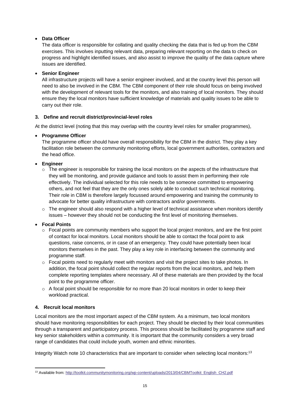#### • **Data Officer**

The data officer is responsible for collating and quality checking the data that is fed up from the CBM exercises. This involves inputting relevant data, preparing relevant reporting on the data to check on progress and highlight identified issues, and also assist to improve the quality of the data capture where issues are identified.

#### • **Senior Engineer**

All infrastructure projects will have a senior engineer involved, and at the country level this person will need to also be involved in the CBM. The CBM component of their role should focus on being involved with the development of relevant tools for the monitors, and also training of local monitors. They should ensure they the local monitors have sufficient knowledge of materials and quality issues to be able to carry out their role.

#### **3. Define and recruit district/provincial-level roles**

At the district level (noting that this may overlap with the country level roles for smaller programmes),

#### • **Programme Officer**

The programme officer should have overall responsibility for the CBM in the district. They play a key facilitation role between the community monitoring efforts, local government authorities, contractors and the head office.

#### • **Engineer**

- $\circ$  The engineer is responsible for training the local monitors on the aspects of the infrastructure that they will be monitoring, and provide guidance and tools to assist them in performing their role effectively. The individual selected for this role needs to be someone committed to empowering others, and not feel that they are the only ones solely able to conduct such technical monitoring. Their role in CBM is therefore largely focussed around empowering and training the community to advocate for better quality infrastructure with contractors and/or governments.
- $\circ$  The engineer should also respond with a higher level of technical assistance when monitors identify issues – however they should not be conducting the first level of monitoring themselves.

#### • **Focal Points**

- $\circ$  Focal points are community members who support the local project monitors, and are the first point of contact for local monitors. Local monitors should be able to contact the focal point to ask questions, raise concerns, or in case of an emergency. They could have potentially been local monitors themselves in the past. They play a key role in interfacing between the community and programme staff.
- $\circ$  Focal points need to regularly meet with monitors and visit the project sites to take photos. In addition, the focal point should collect the regular reports from the local monitors, and help them complete reporting templates where necessary. All of these materials are then provided by the focal point to the programme officer.
- $\circ$  A focal point should be responsible for no more than 20 local monitors in order to keep their workload practical.

#### **4. Recruit local monitors**

 $\overline{\phantom{a}}$ 

Local monitors are the most important aspect of the CBM system. As a minimum, two local monitors should have monitoring responsibilities for each project. They should be elected by their local communities through a transparent and participatory process. This process should be facilitated by programme staff and key senior stakeholders within a community. It is important that the community considers a very broad range of candidates that could include youth, women and ethnic minorities.

Integrity Watch note 10 characteristics that are important to consider when selecting local monitors:<sup>13</sup>

<sup>&</sup>lt;sup>13</sup> Available from: [http://toolkit.communitymonitoring.org/wp-content/uploads/2013/04/CBMToolkit\\_English\\_CH2.pdf](http://toolkit.communitymonitoring.org/wp-content/uploads/2013/04/CBMToolkit_English_CH2.pdf)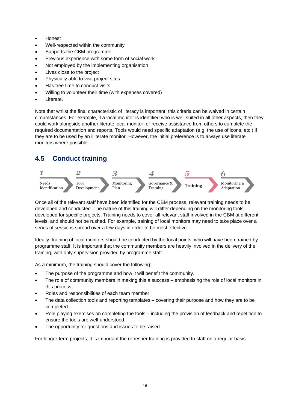- Honest
- Well-respected within the community
- Supports the CBM programme
- Previous experience with some form of social work
- Not employed by the implementing organisation
- Lives close to the project
- Physically able to visit project sites
- Has free time to conduct visits
- Willing to volunteer their time (with expenses covered)
- Literate.

Note that whilst the final characteristic of literacy is important, this criteria can be waived in certain circumstances. For example, if a local monitor is identified who is well suited in all other aspects, then they could work alongside another literate local monitor, or receive assistance from others to complete the required documentation and reports. Tools would need specific adaptation (e.g. the use of icons, etc.) if they are to be used by an illiterate monitor. However, the initial preference is to always use literate monitors where possible.

# <span id="page-15-0"></span>**4.5 Conduct training**



Once all of the relevant staff have been identified for the CBM process, relevant training needs to be developed and conducted. The nature of this training will differ depending on the monitoring tools developed for specific projects. Training needs to cover all relevant staff involved in the CBM at different levels, and should not be rushed. For example, training of local monitors may need to take place over a series of sessions spread over a few days in order to be most effective.

Ideally, training of local monitors should be conducted by the focal points, who will have been trained by programme staff. It is important that the community members are heavily involved in the delivery of the training, with only supervision provided by programme staff.

As a minimum, the training should cover the following:

- The purpose of the programme and how it will benefit the community.
- The role of community members in making this a success emphasising the role of local monitors in this process.
- Roles and responsibilities of each team member.
- The data collection tools and reporting templates covering their purpose and how they are to be completed.
- Role playing exercises on completing the tools including the provision of feedback and repetition to ensure the tools are well-understood.
- The opportunity for questions and issues to be raised.

For longer-term projects, it is important the refresher training is provided to staff on a regular basis.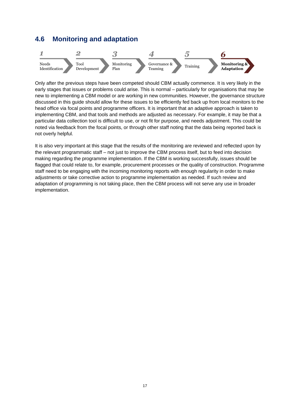### <span id="page-16-0"></span>**4.6 Monitoring and adaptation**



Only after the previous steps have been competed should CBM actually commence. It is very likely in the early stages that issues or problems could arise. This is normal – particularly for organisations that may be new to implementing a CBM model or are working in new communities. However, the governance structure discussed in this guide should allow for these issues to be efficiently fed back up from local monitors to the head office via focal points and programme officers. It is important that an adaptive approach is taken to implementing CBM, and that tools and methods are adjusted as necessary. For example, it may be that a particular data collection tool is difficult to use, or not fit for purpose, and needs adjustment. This could be noted via feedback from the focal points, or through other staff noting that the data being reported back is not overly helpful.

It is also very important at this stage that the results of the monitoring are reviewed and reflected upon by the relevant programmatic staff – not just to improve the CBM process itself, but to feed into decision making regarding the programme implementation. If the CBM is working successfully, issues should be flagged that could relate to, for example, procurement processes or the quality of construction. Programme staff need to be engaging with the incoming monitoring reports with enough regularity in order to make adjustments or take corrective action to programme implementation as needed. If such review and adaptation of programming is not taking place, then the CBM process will not serve any use in broader implementation.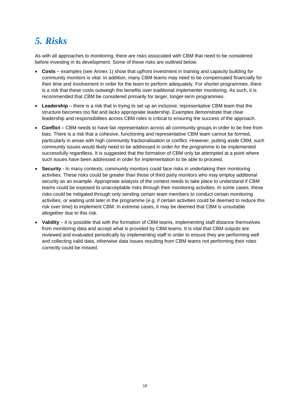# <span id="page-17-0"></span>*5. Risks*

As with all approaches to monitoring, there are risks associated with CBM that need to be considered before investing in its development. Some of these risks are outlined below.

- **Costs** examples (see Annex 1) show that upfront investment in training and capacity building for community monitors is vital. In addition, many CBM teams may need to be compensated financially for their time and involvement in order for the team to perform adequately. For shorter programmes, there is a risk that these costs outweigh the benefits over traditional implementer monitoring. As such, it is recommended that CBM be considered primarily for larger, longer-term programmes.
- **Leadership** there is a risk that in trying to set up an inclusive, representative CBM team that the structure becomes too flat and lacks appropriate leadership. Examples demonstrate that clear leadership and responsibilities across CBM roles is critical to ensuring the success of the approach.
- **Conflict** CBM needs to have fair representation across all community groups in order to be free from bias. There is a risk that a cohesive, functioning and representative CBM team cannot be formed, particularly in areas with high community fractionalisation or conflict. However, putting aside CBM, such community issues would likely need to be addressed in order for the programme to be implemented successfully regardless. It is suggested that the formation of CBM only be attempted at a point where such issues have been addressed in order for implementation to be able to proceed.
- **Security** In many contexts, community monitors could face risks in undertaking their monitoring activities. These risks could be greater than those of third party monitors who may employ additional security as an example. Appropriate analysis of the context needs to take place to understand if CBM teams could be exposed to unacceptable risks through their monitoring activities. In some cases, these risks could be mitigated through only sending certain team members to conduct certain monitoring activities, or waiting until later in the programme (e.g. if certain activities could be deemed to reduce this risk over time) to implement CBM. In extreme cases, it may be deemed that CBM is unsuitable altogether due to this risk.
- **Validity** it is possible that with the formation of CBM teams, implementing staff distance themselves from monitoring data and accept what is provided by CBM teams. It is vital that CBM outputs are reviewed and evaluated periodically by implementing staff in order to ensure they are performing well and collecting valid data, otherwise data issues resulting from CBM teams not performing their roles correctly could be missed.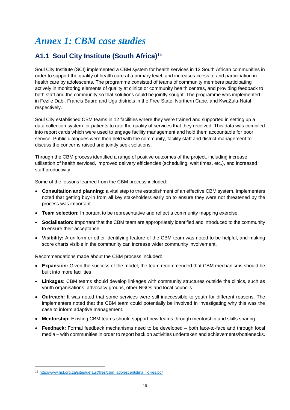# <span id="page-18-0"></span>*Annex 1: CBM case studies*

# <span id="page-18-1"></span>**A1.1 Soul City Institute (South Africa)**<sup>14</sup>

Soul City Institute (SCI) implemented a CBM system for health services in 12 South African communities in order to support the quality of health care at a primary level, and increase access to and participation in health care by adolescents. The programme consisted of teams of community members participating actively in monitoring elements of quality at clinics or community health centres, and providing feedback to both staff and the community so that solutions could be jointly sought. The programme was implemented in Fezile Dabi, Francis Baard and Ugu districts in the Free State, Northern Cape, and KwaZulu-Natal respectively.

Soul City established CBM teams in 12 facilities where they were trained and supported in setting up a data collection system for patients to rate the quality of services that they received. This data was compiled into report cards which were used to engage facility management and hold them accountable for poor service. Public dialogues were then held with the community, facility staff and district management to discuss the concerns raised and jointly seek solutions.

Through the CBM process identified a range of positive outcomes of the project, including increase utilisation of health serviced, improved delivery efficiencies (scheduling, wait times, etc.), and increased staff productivity.

Some of the lessons learned from the CBM process included:

- **Consultation and planning:** a vital step to the establishment of an effective CBM system. Implementers noted that getting buy-in from all key stakeholders early on to ensure they were not threatened by the process was important
- **Team selection:** Important to be representative and reflect a community mapping exercise.
- **Socialisation:** Important that the CBM team are appropriately identified and introduced to the community to ensure their acceptance.
- **Visibility:** A uniform or other identifying feature of the CBM team was noted to be helpful, and making score charts visible in the community can increase wider community involvement.

Recommendations made about the CBM process included:

- **Expansion:** Given the success of the model, the team recommended that CBM mechanisms should be built into more facilities
- **Linkages:** CBM teams should develop linkages with community structures outside the clinics, such as youth organisations, advocacy groups, other NGOs and local councils.
- **Outreach:** It was noted that some services were still inaccessible to youth for different reasons. The implementers noted that the CBM team could potentially be involved in investigating why this was the case to inform adaptive management.
- **Mentorship:** Existing CBM teams should support new teams through mentorship and skills sharing
- **Feedback:** Formal feedback mechanisms need to be developed both face-to-face and through local media – with communities in order to report back on activities undertaken and achievements/bottlenecks.

 $\overline{\phantom{a}}$ 

<sup>14</sup> [http://www.hst.org.za/sites/default/files/cbm\\_adolescentsfinal\\_lo-res.pdf](http://www.hst.org.za/sites/default/files/cbm_adolescentsfinal_lo-res.pdf)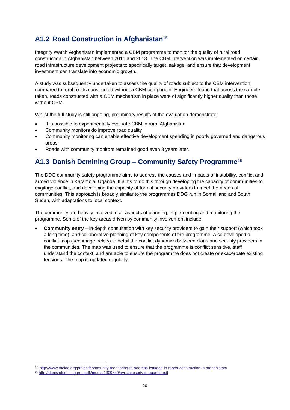# <span id="page-19-0"></span>**A1.2 Road Construction in Afghanistan**<sup>15</sup>

Integrity Watch Afghanistan implemented a CBM programme to monitor the quality of rural road construction in Afghanistan between 2011 and 2013. The CBM intervention was implemented on certain road infrastructure development projects to specifically target leakage, and ensure that development investment can translate into economic growth.

A study was subsequently undertaken to assess the quality of roads subject to the CBM intervention, compared to rural roads constructed without a CBM component. Engineers found that across the sample taken, roads constructed with a CBM mechanism in place were of significantly higher quality than those without CBM.

Whilst the full study is still ongoing, preliminary results of the evaluation demonstrate:

- It is possible to experimentally evaluate CBM in rural Afghanistan
- Community monitors do improve road quality
- Community monitoring can enable effective development spending in poorly governed and dangerous areas
- Roads with community monitors remained good even 3 years later.

### <span id="page-19-1"></span>**A1.3 Danish Demining Group – Community Safety Programme**<sup>16</sup>

The DDG community safety programme aims to address the causes and impacts of instability, conflict and armed violence in Karamoja, Uganda. It aims to do this through developing the capacity of communities to migitage conflict, and developing the capacity of formal security providers to meet the needs of communities. This approach is broadly similar to the programmes DDG run in Somaliland and South Sudan, with adaptations to local context.

The community are heavily involved in all aspects of planning, implementing and monitoring the programme. Some of the key areas driven by community involvement include:

• **Community entry** – in-depth consultation with key security providers to gain their support (which took a long time), and collaborative planning of key components of the programme. Also developed a conflict map (see image below) to detail the conflict dynamics between clans and security providers in the communities. The map was used to ensure that the programme is conflict sensitive, staff understand the context, and are able to ensure the programme does not create or exacerbate existing tensions. The map is updated regularly.

 $\overline{\phantom{a}}$ 

<sup>15</sup> <http://www.theigc.org/project/community-monitoring-to-address-leakage-in-roads-construction-in-afghanistan/>

<sup>16</sup> <http://danishdemininggroup.dk/media/1309849/avr-casesudy-in-uganda.pdf>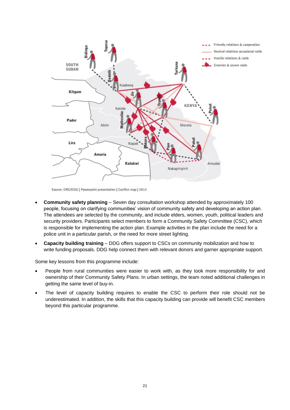

Source: DRC/DDG | Powerpoint presentation | Conflict map | 2012

- **Community safety planning** Seven day consultation workshop attended by approximately 100 people, focusing on clarifying communities' vision of community safety and developing an action plan. The attendees are selected by the community, and include elders, women, youth, political leaders and security providers. Participants select members to form a Community Safety Committee (CSC), which is responsible for implementing the action plan. Example activities in the plan include the need for a police unit in a particular parish, or the need for more street lighting.
- **Capacity building training** DDG offers support to CSCs on community mobilization and how to write funding proposals. DDG help connect them with relevant donors and garner appropriate support.

Some key lessons from this programme include:

- People from rural communities were easier to work with, as they took more responsibility for and ownership of their Community Safety Plans. In urban settings, the team noted additional challenges in getting the same level of buy-in.
- The level of capacity building requires to enable the CSC to perform their role should not be underestimated. In addition, the skills that this capacity building can provide will benefit CSC members beyond this particular programme.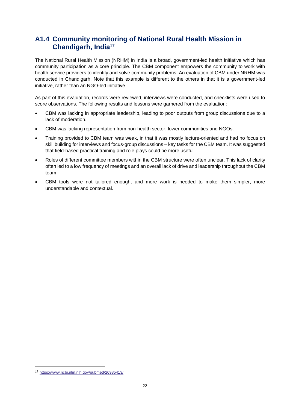### <span id="page-21-0"></span>**A1.4 Community monitoring of National Rural Health Mission in Chandigarh, India**<sup>17</sup>

The National Rural Health Mission (NRHM) in India is a broad, government-led health initiative which has community participation as a core principle. The CBM component empowers the community to work with health service providers to identify and solve community problems. An evaluation of CBM under NRHM was conducted in Chandigarh. Note that this example is different to the others in that it is a government-led initiative, rather than an NGO-led initiative.

As part of this evaluation, records were reviewed, interviews were conducted, and checklists were used to score observations. The following results and lessons were garnered from the evaluation:

- CBM was lacking in appropriate leadership, leading to poor outputs from group discussions due to a lack of moderation.
- CBM was lacking representation from non-health sector, lower communities and NGOs.
- Training provided to CBM team was weak, in that it was mostly lecture-oriented and had no focus on skill building for interviews and focus-group discussions – key tasks for the CBM team. It was suggested that field-based practical training and role plays could be more useful.
- Roles of different committee members within the CBM structure were often unclear. This lack of clarity often led to a low frequency of meetings and an overall lack of drive and leadership throughout the CBM team
- CBM tools were not tailored enough, and more work is needed to make them simpler, more understandable and contextual.

 $\overline{\phantom{a}}$ 

<sup>17</sup> <https://www.ncbi.nlm.nih.gov/pubmed/26985413/>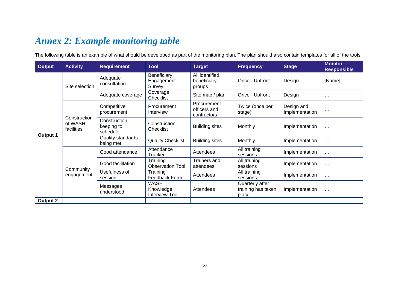# *Annex 2: Example monitoring table*

The following table is an example of what should be developed as part of the monitoring plan. The plan should also contain templates for all of the tools.

<span id="page-22-0"></span>

| <b>Output</b>   | <b>Activity</b>       | <b>Requirement</b>                     | <b>Tool</b>                                | <b>Target</b>                              | <b>Frequency</b>                               | <b>Stage</b>                 | <b>Monitor</b><br><b>Responsible</b> |          |
|-----------------|-----------------------|----------------------------------------|--------------------------------------------|--------------------------------------------|------------------------------------------------|------------------------------|--------------------------------------|----------|
|                 | Site selection        | Adequate<br>consultation               | Beneficiary<br>Engagement<br>Survey        | All identified<br>beneficiary<br>groups    | Once - Upfront                                 | Design                       | [Name]                               |          |
|                 |                       | Adequate coverage                      | Coverage<br>Checklist                      | Site map / plan                            | Once - Upfront                                 | Design                       | $\cdots$                             |          |
| Output 1        | Construction          | Competitive<br>procurement             | Procurement<br>Interview                   | Procurement<br>officers and<br>contractors | Twice (once per<br>stage)                      | Design and<br>Implementation | $\cdots$                             |          |
|                 | of WASH<br>facilities | Construction<br>keeping to<br>schedule | Construction<br>Checklist                  | <b>Building sites</b>                      | Monthly                                        | Implementation               | $\cdots$                             |          |
|                 |                       | Quality standards<br>being met         | <b>Quality Checklist</b>                   | <b>Building sites</b>                      | Monthly                                        | Implementation               | $\cdots$                             |          |
|                 |                       | Good attendance                        | Attendance<br>Tracker                      | Attendees                                  | All training<br>sessions                       | Implementation               | $\cdots$                             |          |
|                 | Community             | Good facilitation                      | Training<br><b>Observation Tool</b>        | Trainers and<br>attendees                  | All training<br>sessions                       | Implementation               | $\cdots$                             |          |
|                 | engagement            |                                        | Usefulness of<br>session                   | Training<br>Feedback Form                  | Attendees                                      | All training<br>sessions     | Implementation                       | $\cdots$ |
|                 |                       | Messages<br>understood                 | <b>WASH</b><br>Knowledge<br>Interview Tool | Attendees                                  | Quarterly after<br>training has taken<br>place | Implementation               | $\cdots$                             |          |
| <b>Output 2</b> | $\cdots$              | $\cdots$                               | $\cdots$                                   | $\cdots$                                   | $\sim$ $\sim$                                  | $\cdots$                     | $\cdots$                             |          |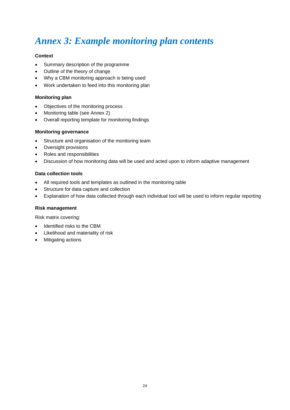# <span id="page-23-0"></span>*Annex 3: Example monitoring plan contents*

#### **Context**

- Summary description of the programme
- Outline of the theory of change
- Why a CBM monitoring approach is being used
- Work undertaken to feed into this monitoring plan

#### **Monitoring plan**

- Objectives of the monitoring process
- Monitoring table (see Annex 2)
- Overall reporting template for monitoring findings

#### **Monitoring governance**

- Structure and organisation of the monitoring team
- Oversight provisions
- Roles and responsibilities
- Discussion of how monitoring data will be used and acted upon to inform adaptive management

#### **Data collection tools**

- All required tools and templates as outlined in the monitoring table
- Structure for data capture and collection
- Explanation of how data collected through each individual tool will be used to inform regular reporting

#### **Risk management**

Risk matrix covering:

- Identified risks to the CBM
- Likelihood and materiality of risk
- Mitigating actions